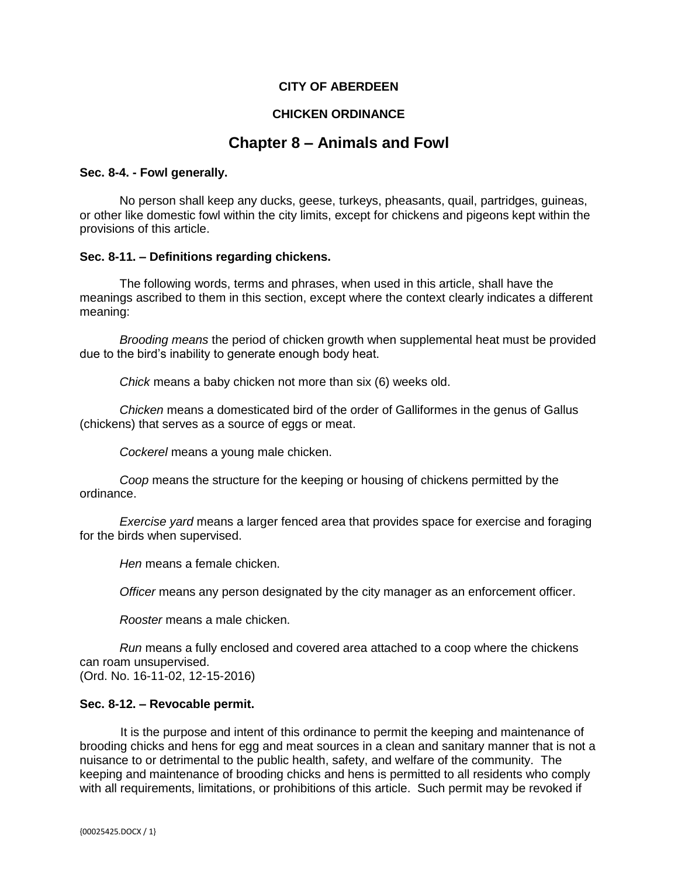## **CITY OF ABERDEEN**

## **CHICKEN ORDINANCE**

# **Chapter 8 – Animals and Fowl**

#### **Sec. 8-4. - Fowl generally.**

No person shall keep any ducks, geese, turkeys, pheasants, quail, partridges, guineas, or other like domestic fowl within the city limits, except for chickens and pigeons kept within the provisions of this article.

#### **Sec. 8-11. – Definitions regarding chickens.**

The following words, terms and phrases, when used in this article, shall have the meanings ascribed to them in this section, except where the context clearly indicates a different meaning:

*Brooding means* the period of chicken growth when supplemental heat must be provided due to the bird's inability to generate enough body heat.

*Chick* means a baby chicken not more than six (6) weeks old.

*Chicken* means a domesticated bird of the order of Galliformes in the genus of Gallus (chickens) that serves as a source of eggs or meat.

*Cockerel* means a young male chicken.

*Coop* means the structure for the keeping or housing of chickens permitted by the ordinance.

*Exercise yard* means a larger fenced area that provides space for exercise and foraging for the birds when supervised.

*Hen* means a female chicken.

*Officer* means any person designated by the city manager as an enforcement officer.

*Rooster* means a male chicken.

*Run* means a fully enclosed and covered area attached to a coop where the chickens can roam unsupervised.

(Ord. No. 16-11-02, 12-15-2016)

### **Sec. 8-12. – Revocable permit.**

 It is the purpose and intent of this ordinance to permit the keeping and maintenance of brooding chicks and hens for egg and meat sources in a clean and sanitary manner that is not a nuisance to or detrimental to the public health, safety, and welfare of the community. The keeping and maintenance of brooding chicks and hens is permitted to all residents who comply with all requirements, limitations, or prohibitions of this article. Such permit may be revoked if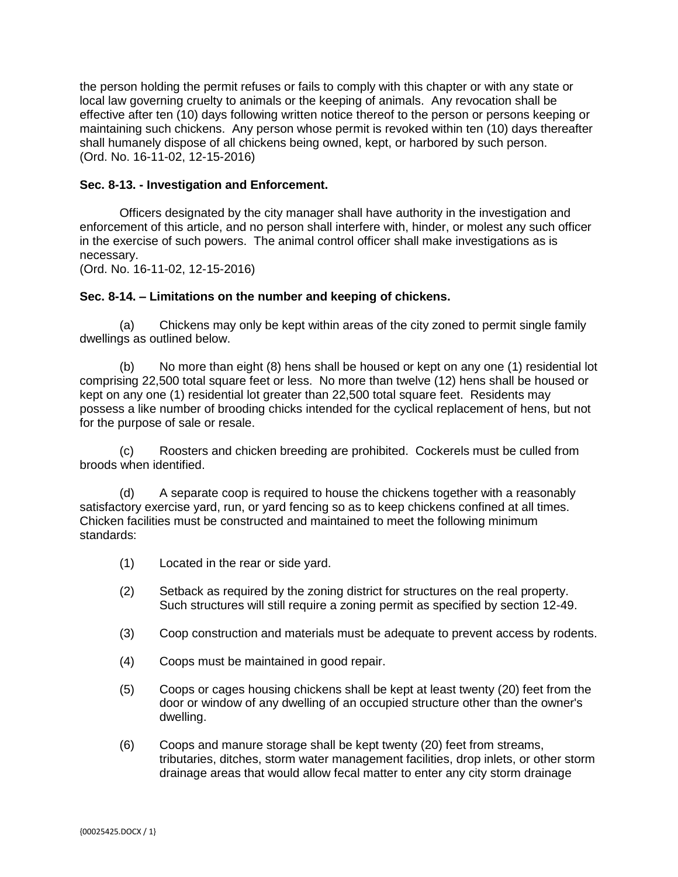the person holding the permit refuses or fails to comply with this chapter or with any state or local law governing cruelty to animals or the keeping of animals. Any revocation shall be effective after ten (10) days following written notice thereof to the person or persons keeping or maintaining such chickens. Any person whose permit is revoked within ten (10) days thereafter shall humanely dispose of all chickens being owned, kept, or harbored by such person. (Ord. No. 16-11-02, 12-15-2016)

## **Sec. 8-13. - Investigation and Enforcement.**

Officers designated by the city manager shall have authority in the investigation and enforcement of this article, and no person shall interfere with, hinder, or molest any such officer in the exercise of such powers. The animal control officer shall make investigations as is necessary.

(Ord. No. 16-11-02, 12-15-2016)

## **Sec. 8-14. – Limitations on the number and keeping of chickens.**

(a) Chickens may only be kept within areas of the city zoned to permit single family dwellings as outlined below.

(b) No more than eight (8) hens shall be housed or kept on any one (1) residential lot comprising 22,500 total square feet or less. No more than twelve (12) hens shall be housed or kept on any one (1) residential lot greater than 22,500 total square feet. Residents may possess a like number of brooding chicks intended for the cyclical replacement of hens, but not for the purpose of sale or resale.

(c) Roosters and chicken breeding are prohibited. Cockerels must be culled from broods when identified.

(d) A separate coop is required to house the chickens together with a reasonably satisfactory exercise yard, run, or yard fencing so as to keep chickens confined at all times. Chicken facilities must be constructed and maintained to meet the following minimum standards:

- (1) Located in the rear or side yard.
- (2) Setback as required by the zoning district for structures on the real property. Such structures will still require a zoning permit as specified by section 12-49.
- (3) Coop construction and materials must be adequate to prevent access by rodents.
- (4) Coops must be maintained in good repair.
- (5) Coops or cages housing chickens shall be kept at least twenty (20) feet from the door or window of any dwelling of an occupied structure other than the owner's dwelling.
- (6) Coops and manure storage shall be kept twenty (20) feet from streams, tributaries, ditches, storm water management facilities, drop inlets, or other storm drainage areas that would allow fecal matter to enter any city storm drainage